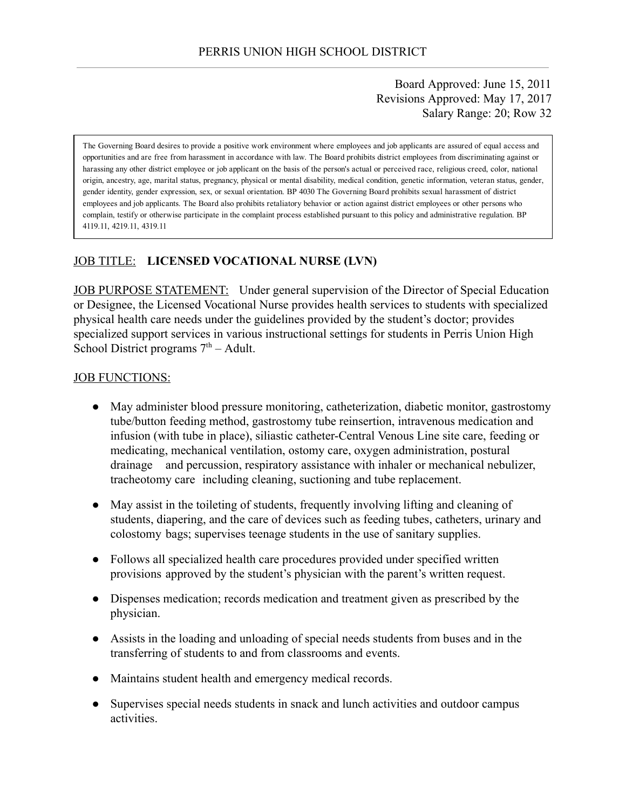Board Approved: June 15, 2011 Revisions Approved: May 17, 2017 Salary Range: 20; Row 32

The Governing Board desires to provide a positive work environment where employees and job applicants are assured of equal access and opportunities and are free from harassment in accordance with law. The Board prohibits district employees from discriminating against or harassing any other district employee or job applicant on the basis of the person's actual or perceived race, religious creed, color, national origin, ancestry, age, marital status, pregnancy, physical or mental disability, medical condition, genetic information, veteran status, gender, gender identity, gender expression, sex, or sexual orientation. BP 4030 The Governing Board prohibits sexual harassment of district employees and job applicants. The Board also prohibits retaliatory behavior or action against district employees or other persons who complain, testify or otherwise participate in the complaint process established pursuant to this policy and administrative regulation. BP 4119.11, 4219.11, 4319.11

### JOB TITLE: LICENSED VOCATIONAL NURSE (LVN)

JOB PURPOSE STATEMENT: Under general supervision of the Director of Special Education or Designee, the Licensed Vocational Nurse provides health services to students with specialized physical health care needs under the guidelines provided by the student's doctor; provides specialized support services in various instructional settings for students in Perris Union High School District programs  $7<sup>th</sup>$  – Adult.

#### JOB FUNCTIONS:

- May administer blood pressure monitoring, catheterization, diabetic monitor, gastrostomy tube/button feeding method, gastrostomy tube reinsertion, intravenous medication and infusion (with tube in place), siliastic catheter-Central Venous Line site care, feeding or medicating, mechanical ventilation, ostomy care, oxygen administration, postural drainage and percussion, respiratory assistance with inhaler or mechanical nebulizer, tracheotomy care including cleaning, suctioning and tube replacement.
- May assist in the toileting of students, frequently involving lifting and cleaning of students, diapering, and the care of devices such as feeding tubes, catheters, urinary and colostomy bags; supervises teenage students in the use of sanitary supplies.
- Follows all specialized health care procedures provided under specified written provisions approved by the student's physician with the parent's written request.
- Dispenses medication; records medication and treatment given as prescribed by the physician.
- Assists in the loading and unloading of special needs students from buses and in the transferring of students to and from classrooms and events.
- Maintains student health and emergency medical records.
- Supervises special needs students in snack and lunch activities and outdoor campus activities.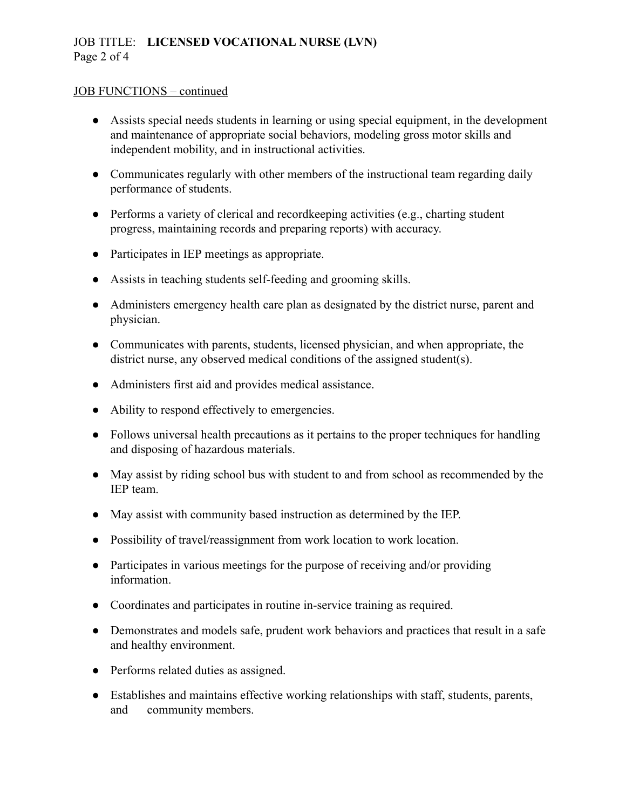# JOB TITLE: LICENSED VOCATIONAL NURSE (LVN) Page 2 of 4

#### JOB FUNCTIONS – continued

- Assists special needs students in learning or using special equipment, in the development and maintenance of appropriate social behaviors, modeling gross motor skills and independent mobility, and in instructional activities.
- Communicates regularly with other members of the instructional team regarding daily performance of students.
- Performs a variety of clerical and recordkeeping activities (e.g., charting student progress, maintaining records and preparing reports) with accuracy.
- Participates in IEP meetings as appropriate.
- Assists in teaching students self-feeding and grooming skills.
- Administers emergency health care plan as designated by the district nurse, parent and physician.
- Communicates with parents, students, licensed physician, and when appropriate, the district nurse, any observed medical conditions of the assigned student(s).
- Administers first aid and provides medical assistance.
- Ability to respond effectively to emergencies.
- Follows universal health precautions as it pertains to the proper techniques for handling and disposing of hazardous materials.
- May assist by riding school bus with student to and from school as recommended by the IEP team.
- May assist with community based instruction as determined by the IEP.
- Possibility of travel/reassignment from work location to work location.
- Participates in various meetings for the purpose of receiving and/or providing information.
- Coordinates and participates in routine in-service training as required.
- Demonstrates and models safe, prudent work behaviors and practices that result in a safe and healthy environment.
- Performs related duties as assigned.
- Establishes and maintains effective working relationships with staff, students, parents, and community members.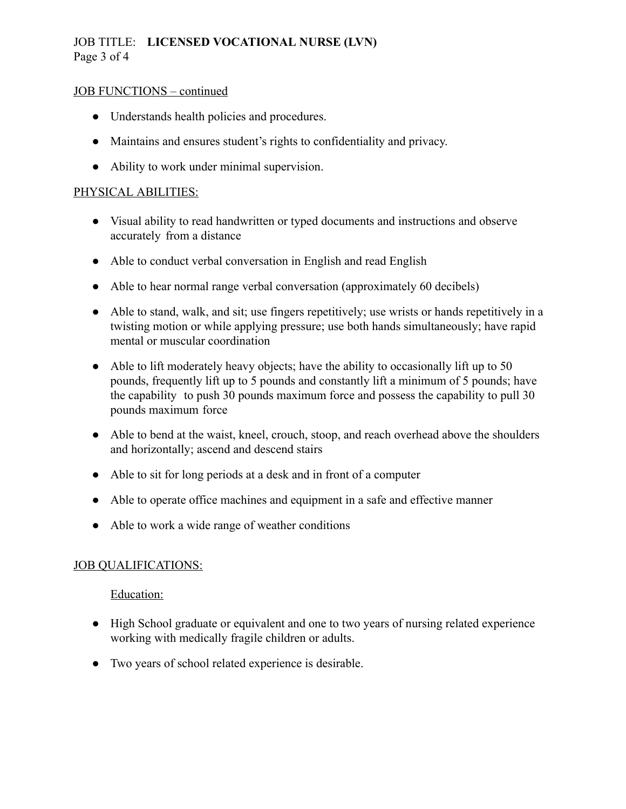# JOB TITLE: LICENSED VOCATIONAL NURSE (LVN) Page 3 of 4

#### JOB FUNCTIONS – continued

- Understands health policies and procedures.
- Maintains and ensures student's rights to confidentiality and privacy.
- Ability to work under minimal supervision.

### PHYSICAL ABILITIES:

- Visual ability to read handwritten or typed documents and instructions and observe accurately from a distance
- Able to conduct verbal conversation in English and read English
- Able to hear normal range verbal conversation (approximately 60 decibels)
- Able to stand, walk, and sit; use fingers repetitively; use wrists or hands repetitively in a twisting motion or while applying pressure; use both hands simultaneously; have rapid mental or muscular coordination
- Able to lift moderately heavy objects; have the ability to occasionally lift up to 50 pounds, frequently lift up to 5 pounds and constantly lift a minimum of 5 pounds; have the capability to push 30 pounds maximum force and possess the capability to pull 30 pounds maximum force
- Able to bend at the waist, kneel, crouch, stoop, and reach overhead above the shoulders and horizontally; ascend and descend stairs
- Able to sit for long periods at a desk and in front of a computer
- Able to operate office machines and equipment in a safe and effective manner
- Able to work a wide range of weather conditions

### JOB QUALIFICATIONS:

#### Education:

- High School graduate or equivalent and one to two years of nursing related experience working with medically fragile children or adults.
- Two years of school related experience is desirable.